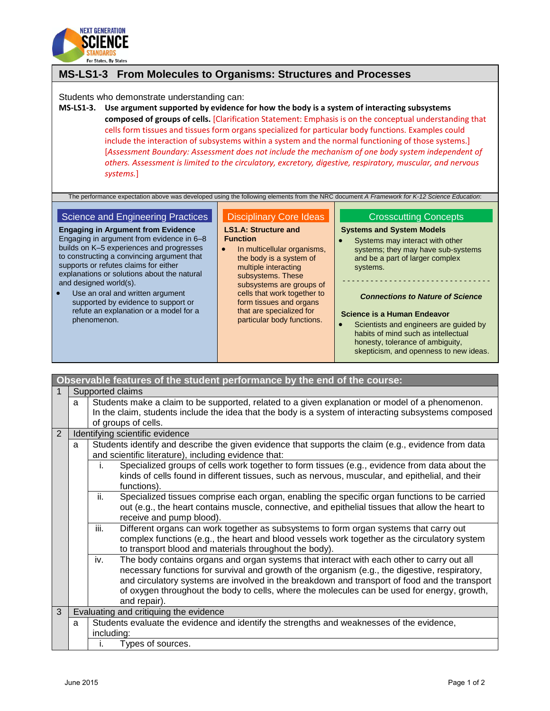

# **MS-LS1-3 From Molecules to Organisms: Structures and Processes**

Students who demonstrate understanding can:

**MS-LS1-3. Use argument supported by evidence for how the body is a system of interacting subsystems composed of groups of cells.** [Clarification Statement: Emphasis is on the conceptual understanding that cells form tissues and tissues form organs specialized for particular body functions. Examples could include the interaction of subsystems within a system and the normal functioning of those systems.] [*Assessment Boundary: Assessment does not include the mechanism of one body system independent of others. Assessment is limited to the circulatory, excretory, digestive, respiratory, muscular, and nervous systems.*]

The performance expectation above was developed using the following elements from the NRC document *A Framework for K-12 Science Education*:

### Science and Engineering Practices

**Engaging in Argument from Evidence** Engaging in argument from evidence in 6–8 builds on K–5 experiences and progresses to constructing a convincing argument that supports or refutes claims for either explanations or solutions about the natural and designed world(s).

 Use an oral and written argument supported by evidence to support or refute an explanation or a model for a phenomenon.

### Disciplinary Core Ideas

#### **LS1.A: Structure and Function**

• In multicellular organisms. the body is a system of multiple interacting subsystems. These subsystems are groups of cells that work together to form tissues and organs that are specialized for particular body functions.

# Crosscutting Concepts

# **Systems and System Models**

• Systems may interact with other systems; they may have sub-systems and be a part of larger complex systems.

# - - - - - - - - - - - - - - - - - - - - - - - - - - - - - - - - *Connections to Nature of Science*

#### **Science is a Human Endeavor**

 Scientists and engineers are guided by habits of mind such as intellectual honesty, tolerance of ambiguity, skepticism, and openness to new ideas.

| Observable features of the student performance by the end of the course: |                                 |                                                                                                                                                                                                                                                                                                                                                                                                                    |  |
|--------------------------------------------------------------------------|---------------------------------|--------------------------------------------------------------------------------------------------------------------------------------------------------------------------------------------------------------------------------------------------------------------------------------------------------------------------------------------------------------------------------------------------------------------|--|
| 1                                                                        | Supported claims                |                                                                                                                                                                                                                                                                                                                                                                                                                    |  |
|                                                                          | a                               | Students make a claim to be supported, related to a given explanation or model of a phenomenon.                                                                                                                                                                                                                                                                                                                    |  |
|                                                                          |                                 | In the claim, students include the idea that the body is a system of interacting subsystems composed                                                                                                                                                                                                                                                                                                               |  |
|                                                                          |                                 | of groups of cells.                                                                                                                                                                                                                                                                                                                                                                                                |  |
| $\overline{2}$                                                           | Identifying scientific evidence |                                                                                                                                                                                                                                                                                                                                                                                                                    |  |
|                                                                          | a                               | Students identify and describe the given evidence that supports the claim (e.g., evidence from data<br>and scientific literature), including evidence that:                                                                                                                                                                                                                                                        |  |
|                                                                          |                                 | Specialized groups of cells work together to form tissues (e.g., evidence from data about the<br>i.<br>kinds of cells found in different tissues, such as nervous, muscular, and epithelial, and their<br>functions).                                                                                                                                                                                              |  |
|                                                                          |                                 | ii.<br>Specialized tissues comprise each organ, enabling the specific organ functions to be carried<br>out (e.g., the heart contains muscle, connective, and epithelial tissues that allow the heart to<br>receive and pump blood).                                                                                                                                                                                |  |
|                                                                          |                                 | Different organs can work together as subsystems to form organ systems that carry out<br>iii.<br>complex functions (e.g., the heart and blood vessels work together as the circulatory system<br>to transport blood and materials throughout the body).                                                                                                                                                            |  |
|                                                                          |                                 | The body contains organs and organ systems that interact with each other to carry out all<br>iv.<br>necessary functions for survival and growth of the organism (e.g., the digestive, respiratory,<br>and circulatory systems are involved in the breakdown and transport of food and the transport<br>of oxygen throughout the body to cells, where the molecules can be used for energy, growth,<br>and repair). |  |
| 3                                                                        |                                 | Evaluating and critiquing the evidence                                                                                                                                                                                                                                                                                                                                                                             |  |
|                                                                          | a                               | Students evaluate the evidence and identify the strengths and weaknesses of the evidence,                                                                                                                                                                                                                                                                                                                          |  |
|                                                                          |                                 | including:                                                                                                                                                                                                                                                                                                                                                                                                         |  |
|                                                                          |                                 | Types of sources.<br>ı.                                                                                                                                                                                                                                                                                                                                                                                            |  |